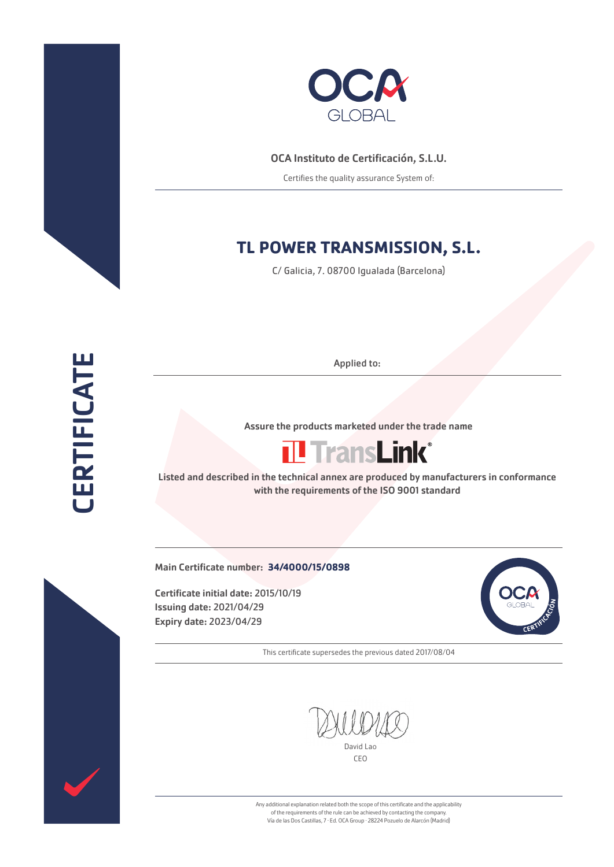



## OCA Instituto de Certificación, S.L.U.

Certifies the quality assurance System of:

## **TL POWER TRANSMISSION, S.L.**

C/ Galicia, 7. 08700 Igualada (Barcelona)

Applied to:

Assure the products marketed under the trade name



Listed and described in the technical annex are produced by manufacturers in conformance with the requirements of the ISO 9001 standard

Main Certificate number: **34/4000/15/0898**

Certificate initial date: 2015/10/19 Issuing date: 2021/04/29 Expiry date: 2023/04/29



This certificate supersedes the previous dated 2017/08/04

David Lao

CEO